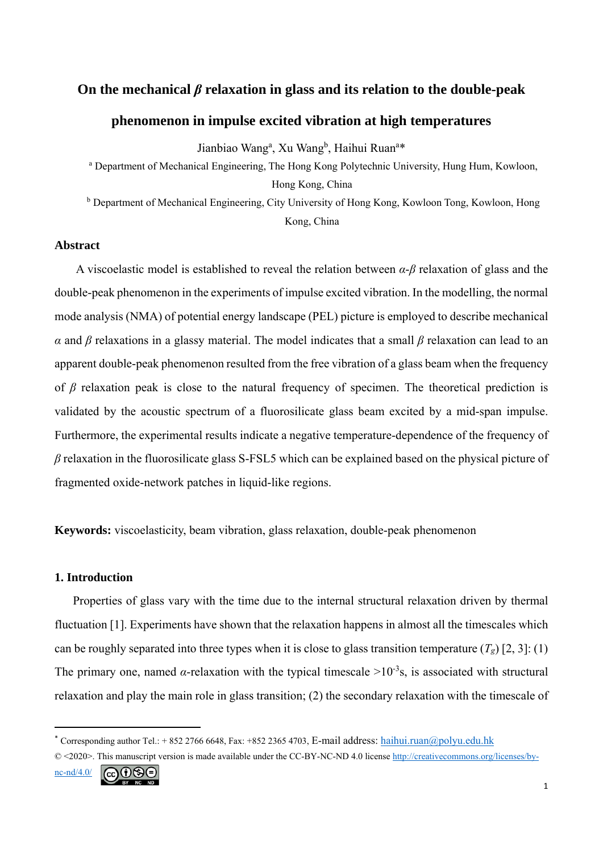# **On the mechanical** *β* **relaxation in glass and its relation to the double-peak**

# **phenomenon in impulse excited vibration at high temperatures**

Jianbiao Wang<sup>a</sup>, Xu Wang<sup>b</sup>, Haihui Ruan<sup>a\*</sup>

<sup>a</sup> Department of Mechanical Engineering, The Hong Kong Polytechnic University, Hung Hum, Kowloon, Hong Kong, China

<sup>b</sup> Department of Mechanical Engineering, City University of Hong Kong, Kowloon Tong, Kowloon, Hong Kong, China

### **Abstract**

A viscoelastic model is established to reveal the relation between *α*-*β* relaxation of glass and the double-peak phenomenon in the experiments of impulse excited vibration. In the modelling, the normal mode analysis (NMA) of potential energy landscape (PEL) picture is employed to describe mechanical *α* and *β* relaxations in a glassy material. The model indicates that a small *β* relaxation can lead to an apparent double-peak phenomenon resulted from the free vibration of a glass beam when the frequency of *β* relaxation peak is close to the natural frequency of specimen. The theoretical prediction is validated by the acoustic spectrum of a fluorosilicate glass beam excited by a mid-span impulse. Furthermore, the experimental results indicate a negative temperature-dependence of the frequency of *β* relaxation in the fluorosilicate glass S-FSL5 which can be explained based on the physical picture of fragmented oxide-network patches in liquid-like regions.

**Keywords:** viscoelasticity, beam vibration, glass relaxation, double-peak phenomenon

### **1. Introduction**

Properties of glass vary with the time due to the internal structural relaxation driven by thermal fluctuation [1]. Experiments have shown that the relaxation happens in almost all the timescales which can be roughly separated into three types when it is close to glass transition temperature  $(T_g)$  [2, 3]: (1) The primary one, named *α*-relaxation with the typical timescale  $>10^{-3}$ s, is associated with structural relaxation and play the main role in glass transition; (2) the secondary relaxation with the timescale of

$$
\underbrace{\mathsf{nc}\text{-nd/4.0/}}_{\mathsf{IV}-\mathsf{NC}}\ \ \underbrace{\mathsf{cc} \ \ \bigcirc \ \ \ \mathsf{c}}_{\mathsf{IV}-\mathsf{NC}}\ \ \mathsf{c}}_{\mathsf{IV}-\mathsf{NC}}
$$

<sup>&</sup>lt;sup>\*</sup> Corresponding author Tel.: + 852 2766 6648, Fax: +852 2365 4703, E-mail address: haihui.ruan@polyu.edu.hk

<sup>© &</sup>lt;2020>. This manuscript version is made available under the CC-BY-NC-ND 4.0 license http://creativecommons.org/licenses/by-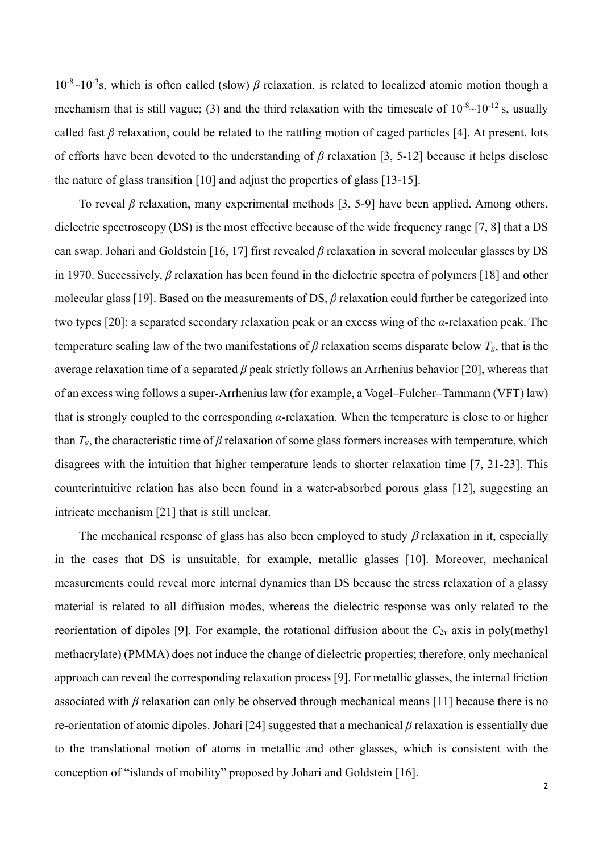10-8~10-3s, which is often called (slow) *β* relaxation, is related to localized atomic motion though a mechanism that is still vague; (3) and the third relaxation with the timescale of  $10^{-8}$ ~ $10^{-12}$  s, usually called fast *β* relaxation, could be related to the rattling motion of caged particles [4]. At present, lots of efforts have been devoted to the understanding of *β* relaxation [3, 5-12] because it helps disclose the nature of glass transition [10] and adjust the properties of glass [13-15].

To reveal *β* relaxation, many experimental methods [3, 5-9] have been applied. Among others, dielectric spectroscopy (DS) is the most effective because of the wide frequency range [7, 8] that a DS can swap. Johari and Goldstein [16, 17] first revealed *β* relaxation in several molecular glasses by DS in 1970. Successively, *β* relaxation has been found in the dielectric spectra of polymers [18] and other molecular glass [19]. Based on the measurements of DS, *β* relaxation could further be categorized into two types [20]: a separated secondary relaxation peak or an excess wing of the *α*-relaxation peak. The temperature scaling law of the two manifestations of  $\beta$  relaxation seems disparate below  $T_g$ , that is the average relaxation time of a separated *β* peak strictly follows an Arrhenius behavior [20], whereas that of an excess wing follows a super-Arrhenius law (for example, a Vogel–Fulcher–Tammann (VFT) law) that is strongly coupled to the corresponding *α*-relaxation. When the temperature is close to or higher than  $T_g$ , the characteristic time of  $\beta$  relaxation of some glass formers increases with temperature, which disagrees with the intuition that higher temperature leads to shorter relaxation time [7, 21-23]. This counterintuitive relation has also been found in a water-absorbed porous glass [12], suggesting an intricate mechanism [21] that is still unclear.

The mechanical response of glass has also been employed to study  $\beta$  relaxation in it, especially in the cases that DS is unsuitable, for example, metallic glasses [10]. Moreover, mechanical measurements could reveal more internal dynamics than DS because the stress relaxation of a glassy material is related to all diffusion modes, whereas the dielectric response was only related to the reorientation of dipoles [9]. For example, the rotational diffusion about the  $C_{2v}$  axis in poly(methyl methacrylate) (PMMA) does not induce the change of dielectric properties; therefore, only mechanical approach can reveal the corresponding relaxation process [9]. For metallic glasses, the internal friction associated with *β* relaxation can only be observed through mechanical means [11] because there is no re-orientation of atomic dipoles. Johari [24] suggested that a mechanical *β* relaxation is essentially due to the translational motion of atoms in metallic and other glasses, which is consistent with the conception of "islands of mobility" proposed by Johari and Goldstein [16].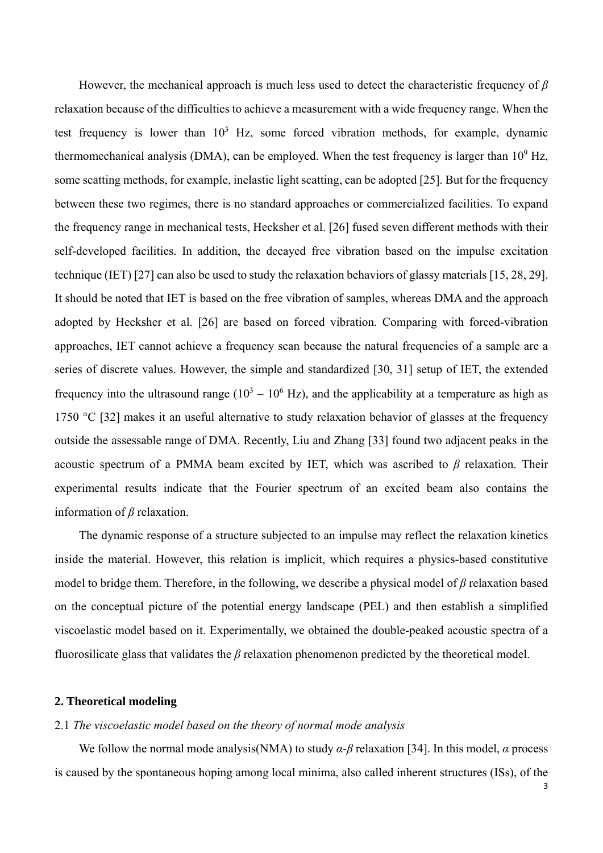However, the mechanical approach is much less used to detect the characteristic frequency of *β* relaxation because of the difficulties to achieve a measurement with a wide frequency range. When the test frequency is lower than  $10<sup>3</sup>$  Hz, some forced vibration methods, for example, dynamic thermomechanical analysis (DMA), can be employed. When the test frequency is larger than  $10^9$  Hz, some scatting methods, for example, inelastic light scatting, can be adopted [25]. But for the frequency between these two regimes, there is no standard approaches or commercialized facilities. To expand the frequency range in mechanical tests, Hecksher et al. [26] fused seven different methods with their self-developed facilities. In addition, the decayed free vibration based on the impulse excitation technique (IET) [27] can also be used to study the relaxation behaviors of glassy materials [15, 28, 29]. It should be noted that IET is based on the free vibration of samples, whereas DMA and the approach adopted by Hecksher et al. [26] are based on forced vibration. Comparing with forced-vibration approaches, IET cannot achieve a frequency scan because the natural frequencies of a sample are a series of discrete values. However, the simple and standardized [30, 31] setup of IET, the extended frequency into the ultrasound range  $(10^3 – 10^6 \text{ Hz})$ , and the applicability at a temperature as high as 1750 °C [32] makes it an useful alternative to study relaxation behavior of glasses at the frequency outside the assessable range of DMA. Recently, Liu and Zhang [33] found two adjacent peaks in the acoustic spectrum of a PMMA beam excited by IET, which was ascribed to *β* relaxation. Their experimental results indicate that the Fourier spectrum of an excited beam also contains the information of *β* relaxation.

The dynamic response of a structure subjected to an impulse may reflect the relaxation kinetics inside the material. However, this relation is implicit, which requires a physics-based constitutive model to bridge them. Therefore, in the following, we describe a physical model of *β* relaxation based on the conceptual picture of the potential energy landscape (PEL) and then establish a simplified viscoelastic model based on it. Experimentally, we obtained the double-peaked acoustic spectra of a fluorosilicate glass that validates the *β* relaxation phenomenon predicted by the theoretical model.

### **2. Theoretical modeling**

### 2.1 *The viscoelastic model based on the theory of normal mode analysis*

We follow the normal mode analysis(NMA) to study *α*-*β* relaxation [34]. In this model, *α* process is caused by the spontaneous hoping among local minima, also called inherent structures (ISs), of the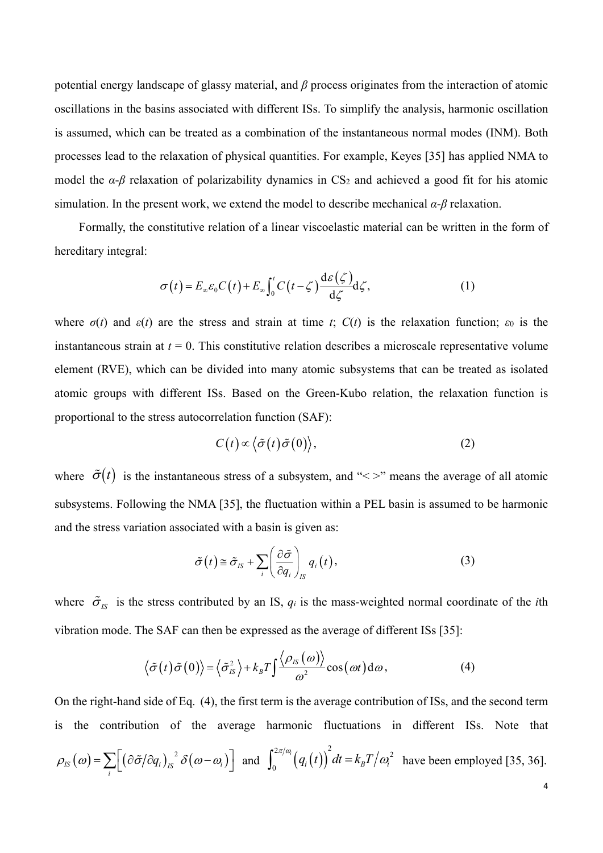potential energy landscape of glassy material, and *β* process originates from the interaction of atomic oscillations in the basins associated with different ISs. To simplify the analysis, harmonic oscillation is assumed, which can be treated as a combination of the instantaneous normal modes (INM). Both processes lead to the relaxation of physical quantities. For example, Keyes [35] has applied NMA to model the  $\alpha$ - $\beta$  relaxation of polarizability dynamics in CS<sub>2</sub> and achieved a good fit for his atomic simulation. In the present work, we extend the model to describe mechanical *α*-*β* relaxation.

Formally, the constitutive relation of a linear viscoelastic material can be written in the form of hereditary integral:

$$
\sigma(t) = E_{\infty} \varepsilon_0 C(t) + E_{\infty} \int_0^t C(t - \zeta) \frac{d\varepsilon(\zeta)}{d\zeta} d\zeta,
$$
 (1)

where  $\sigma(t)$  and  $\varepsilon(t)$  are the stress and strain at time *t*;  $C(t)$  is the relaxation function;  $\varepsilon_0$  is the instantaneous strain at  $t = 0$ . This constitutive relation describes a microscale representative volume element (RVE), which can be divided into many atomic subsystems that can be treated as isolated atomic groups with different ISs. Based on the Green-Kubo relation, the relaxation function is proportional to the stress autocorrelation function (SAF):

$$
C(t) \propto \langle \tilde{\sigma}(t) \tilde{\sigma}(0) \rangle, \tag{2}
$$

where  $\tilde{\sigma}(t)$  is the instantaneous stress of a subsystem, and "<>" means the average of all atomic subsystems. Following the NMA [35], the fluctuation within a PEL basin is assumed to be harmonic and the stress variation associated with a basin is given as:

$$
\tilde{\sigma}(t) \cong \tilde{\sigma}_{IS} + \sum_{i} \left(\frac{\partial \tilde{\sigma}}{\partial q_i}\right)_{IS} q_i(t), \qquad (3)
$$

where  $\tilde{\sigma}_{IS}$  is the stress contributed by an IS,  $q_i$  is the mass-weighted normal coordinate of the *i*th vibration mode. The SAF can then be expressed as the average of different ISs [35]:

$$
\langle \tilde{\sigma}(t) \tilde{\sigma}(0) \rangle = \langle \tilde{\sigma}_{IS}^2 \rangle + k_B T \int \frac{\langle \rho_{IS}(\omega) \rangle}{\omega^2} \cos(\omega t) d\omega, \tag{4}
$$

On the right-hand side of Eq. (4), the first term is the average contribution of ISs, and the second term is the contribution of the average harmonic fluctuations in different ISs. Note that

$$
\rho_{IS}(\omega) = \sum_{i} \left[ \left( \frac{\partial \tilde{\sigma}}{\partial q_i} \right)_{IS}^2 \delta(\omega - \omega_i) \right] \text{ and } \int_0^{2\pi/\omega_i} \left( q_i(t) \right)^2 dt = k_B T / \omega_i^2 \text{ have been employed [35, 36].}
$$

4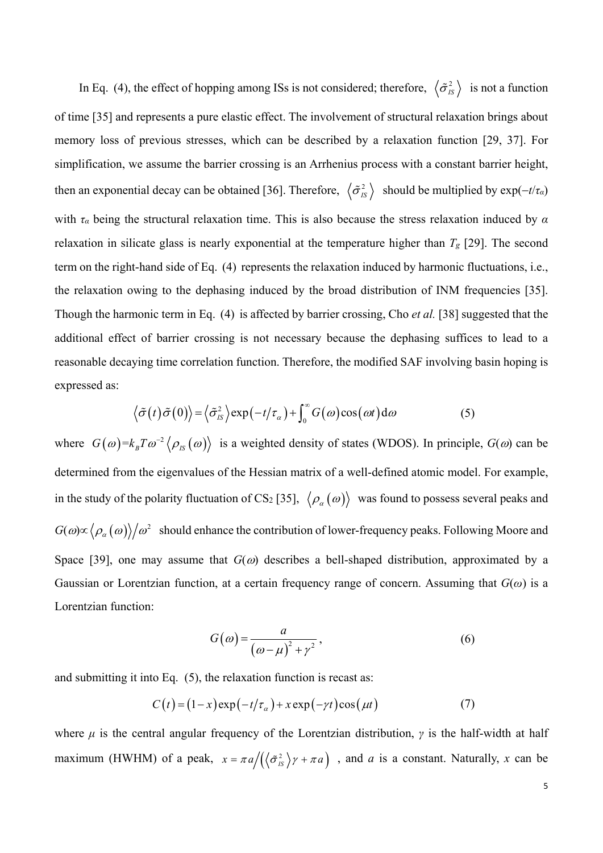In Eq. (4), the effect of hopping among ISs is not considered; therefore,  $\langle \tilde{\sigma}_{IS}^2 \rangle$  is not a function of time [35] and represents a pure elastic effect. The involvement of structural relaxation brings about memory loss of previous stresses, which can be described by a relaxation function [29, 37]. For simplification, we assume the barrier crossing is an Arrhenius process with a constant barrier height, then an exponential decay can be obtained [36]. Therefore,  $\langle \tilde{\sigma}_{IS}^2 \rangle$  should be multiplied by  $\exp(-t/\tau_a)$ with *τα* being the structural relaxation time. This is also because the stress relaxation induced by *α* relaxation in silicate glass is nearly exponential at the temperature higher than *Tg* [29]. The second term on the right-hand side of Eq. (4) represents the relaxation induced by harmonic fluctuations, i.e., the relaxation owing to the dephasing induced by the broad distribution of INM frequencies [35]. Though the harmonic term in Eq. (4) is affected by barrier crossing, Cho *et al.* [38] suggested that the additional effect of barrier crossing is not necessary because the dephasing suffices to lead to a reasonable decaying time correlation function. Therefore, the modified SAF involving basin hoping is expressed as:

$$
\langle \tilde{\sigma}(t) \tilde{\sigma}(0) \rangle = \langle \tilde{\sigma}_{IS}^2 \rangle \exp(-t/\tau_{\alpha}) + \int_0^{\infty} G(\omega) \cos(\omega t) d\omega \tag{5}
$$

where  $G(\omega) = k_B T \omega^{-2} \langle \rho_{IS}(\omega) \rangle$  is a weighted density of states (WDOS). In principle,  $G(\omega)$  can be determined from the eigenvalues of the Hessian matrix of a well-defined atomic model. For example, in the study of the polarity fluctuation of CS<sub>2</sub> [35],  $\langle \rho_{\alpha}(\omega) \rangle$  was found to possess several peaks and  $G(\omega) \propto \langle \rho_a(\omega) \rangle / \omega^2$  should enhance the contribution of lower-frequency peaks. Following Moore and Space [39], one may assume that  $G(\omega)$  describes a bell-shaped distribution, approximated by a Gaussian or Lorentzian function, at a certain frequency range of concern. Assuming that *G*(*ω*) is a Lorentzian function:

$$
G(\omega) = \frac{a}{(\omega - \mu)^2 + \gamma^2},\tag{6}
$$

and submitting it into Eq. (5), the relaxation function is recast as:

$$
C(t) = (1 - x) \exp(-t/\tau_{\alpha}) + x \exp(-\gamma t) \cos(\mu t)
$$
 (7)

where  $\mu$  is the central angular frequency of the Lorentzian distribution,  $\gamma$  is the half-width at half maximum (HWHM) of a peak,  $x = \pi a / ((\sigma_{1s}^2) \gamma + \pi a)$ , and *a* is a constant. Naturally, *x* can be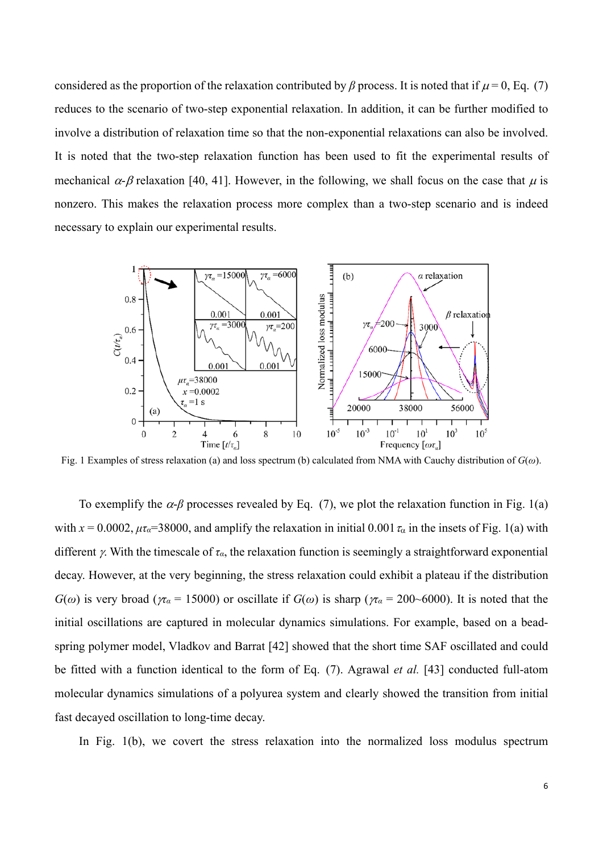considered as the proportion of the relaxation contributed by  $\beta$  process. It is noted that if  $\mu$  = 0, Eq. (7) reduces to the scenario of two-step exponential relaxation. In addition, it can be further modified to involve a distribution of relaxation time so that the non-exponential relaxations can also be involved. It is noted that the two-step relaxation function has been used to fit the experimental results of mechanical  $\alpha$ - $\beta$  relaxation [40, 41]. However, in the following, we shall focus on the case that  $\mu$  is nonzero. This makes the relaxation process more complex than a two-step scenario and is indeed necessary to explain our experimental results.



Fig. 1 Examples of stress relaxation (a) and loss spectrum (b) calculated from NMA with Cauchy distribution of *G*(*ω*).

To exemplify the  $\alpha$ -*β* processes revealed by Eq. (7), we plot the relaxation function in Fig. 1(a) with  $x = 0.0002$ ,  $\mu\tau_{\alpha} = 38000$ , and amplify the relaxation in initial 0.001  $\tau_{\alpha}$  in the insets of Fig. 1(a) with different  $\gamma$ . With the timescale of  $\tau_{\alpha}$ , the relaxation function is seemingly a straightforward exponential decay. However, at the very beginning, the stress relaxation could exhibit a plateau if the distribution *G*( $\omega$ ) is very broad ( $\pi$ <sup>*a*</sup> = 15000) or oscillate if *G*( $\omega$ ) is sharp ( $\pi$ *a* = 200~6000). It is noted that the initial oscillations are captured in molecular dynamics simulations. For example, based on a beadspring polymer model, Vladkov and Barrat [42] showed that the short time SAF oscillated and could be fitted with a function identical to the form of Eq. (7). Agrawal *et al.* [43] conducted full-atom molecular dynamics simulations of a polyurea system and clearly showed the transition from initial fast decayed oscillation to long-time decay.

In Fig. 1(b), we covert the stress relaxation into the normalized loss modulus spectrum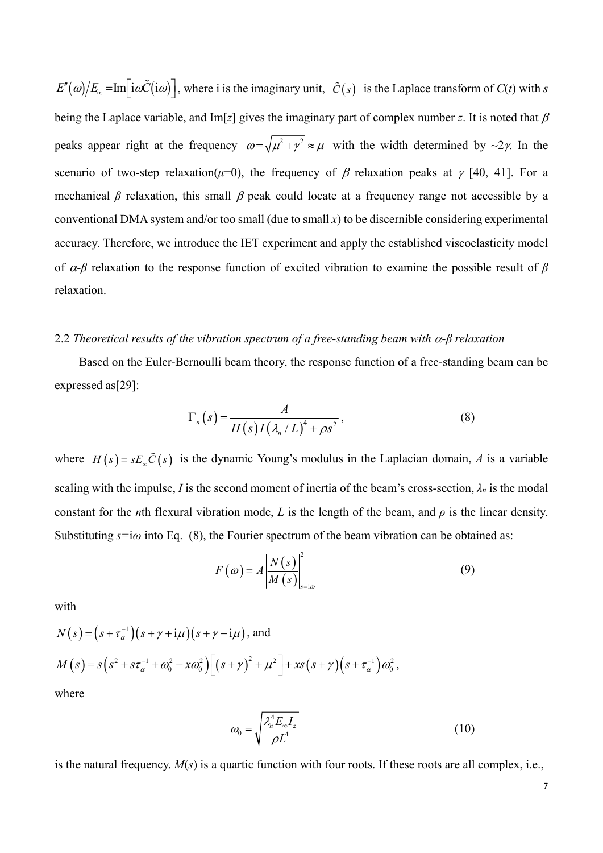$E''(\omega)/E_{\infty} = \text{Im} \left[ i\omega \tilde{C}(i\omega) \right]$ , where i is the imaginary unit,  $\tilde{C}(s)$  is the Laplace transform of  $C(t)$  with *s* being the Laplace variable, and Im[ $z$ ] gives the imaginary part of complex number  $z$ . It is noted that  $\beta$ peaks appear right at the frequency  $\omega = \sqrt{\mu^2 + \gamma^2} \approx \mu$  with the width determined by ~2*y*. In the scenario of two-step relaxation( $\mu$ =0), the frequency of  $\beta$  relaxation peaks at  $\gamma$  [40, 41]. For a mechanical  $\beta$  relaxation, this small  $\beta$  peak could locate at a frequency range not accessible by a conventional DMA system and/or too small (due to small *x*) to be discernible considering experimental accuracy. Therefore, we introduce the IET experiment and apply the established viscoelasticity model of -*β* relaxation to the response function of excited vibration to examine the possible result of *β* relaxation.

## 2.2 *Theoretical results of the vibration spectrum of a free-standing beam with -β relaxation*

Based on the Euler-Bernoulli beam theory, the response function of a free-standing beam can be expressed as[29]:

$$
\Gamma_n(s) = \frac{A}{H(s)I(\lambda_n/L)^4 + \rho s^2},\tag{8}
$$

where  $H(s) = sE_{s}\tilde{C}(s)$  is the dynamic Young's modulus in the Laplacian domain, A is a variable scaling with the impulse, *I* is the second moment of inertia of the beam's cross-section,  $\lambda_n$  is the modal constant for the *n*th flexural vibration mode, *L* is the length of the beam, and  $\rho$  is the linear density. Substituting  $s=i\omega$  into Eq. (8), the Fourier spectrum of the beam vibration can be obtained as:

$$
F(\omega) = A \left| \frac{N(s)}{M(s)} \right|_{s=i\omega}^{2}
$$
 (9)

with

$$
N(s) = (s + \tau_{\alpha}^{-1})(s + \gamma + i\mu)(s + \gamma - i\mu), \text{ and}
$$
  
\n
$$
M(s) = s(s^2 + s\tau_{\alpha}^{-1} + \omega_0^2 - x\omega_0^2) \Big[ (s + \gamma)^2 + \mu^2 \Big] + xs(s + \gamma)(s + \tau_{\alpha}^{-1})\omega_0^2,
$$
  
\nwhere

where

$$
\omega_0 = \sqrt{\frac{\lambda_n^4 E_\infty I_z}{\rho L^4}}
$$
\n(10)

is the natural frequency. *M*(*s*) is a quartic function with four roots. If these roots are all complex, i.e.,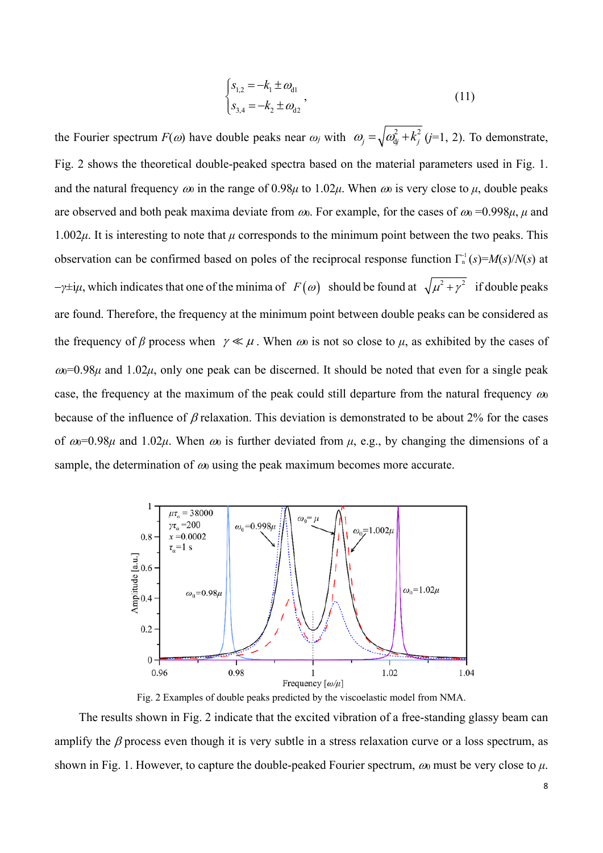$$
\begin{cases}\ns_{1,2} = -k_1 \pm \omega_{d1} \\
s_{3,4} = -k_2 \pm \omega_{d2}\n\end{cases}
$$
\n(11)

the Fourier spectrum  $F(\omega)$  have double peaks near  $\omega_j$  with  $\omega_j = \sqrt{\omega_{ij}^2 + k_j^2}$  (*j*=1, 2). To demonstrate, Fig. 2 shows the theoretical double-peaked spectra based on the material parameters used in Fig. 1. and the natural frequency  $\omega_0$  in the range of 0.98 $\mu$  to 1.02 $\mu$ . When  $\omega_0$  is very close to  $\mu$ , double peaks are observed and both peak maxima deviate from  $\omega$ . For example, for the cases of  $\omega = 0.998\mu$ ,  $\mu$  and 1.002*μ*. It is interesting to note that *μ* corresponds to the minimum point between the two peaks. This observation can be confirmed based on poles of the reciprocal response function  $\Gamma_n^{\text{-}1}(s) = M(s)/N(s)$  at *γ*±i*μ*, which indicates that one of the minima of *F* ( $\omega$ ) should be found at  $\sqrt{\mu^2 + \gamma^2}$  if double peaks are found. Therefore, the frequency at the minimum point between double peaks can be considered as the frequency of *β* process when  $\gamma \ll \mu$ . When  $\omega_0$  is not so close to  $\mu$ , as exhibited by the cases of  $\omega$ =0.98 $\mu$  and 1.02 $\mu$ , only one peak can be discerned. It should be noted that even for a single peak case, the frequency at the maximum of the peak could still departure from the natural frequency  $\omega_0$ because of the influence of  $\beta$  relaxation. This deviation is demonstrated to be about 2% for the cases of  $\omega$ =0.98 $\mu$  and 1.02 $\mu$ . When  $\omega$  is further deviated from  $\mu$ , e.g., by changing the dimensions of a sample, the determination of  $\omega_0$  using the peak maximum becomes more accurate.



Fig. 2 Examples of double peaks predicted by the viscoelastic model from NMA.

The results shown in Fig. 2 indicate that the excited vibration of a free-standing glassy beam can amplify the  $\beta$  process even though it is very subtle in a stress relaxation curve or a loss spectrum, as shown in Fig. 1. However, to capture the double-peaked Fourier spectrum,  $\omega_0$  must be very close to  $\mu$ .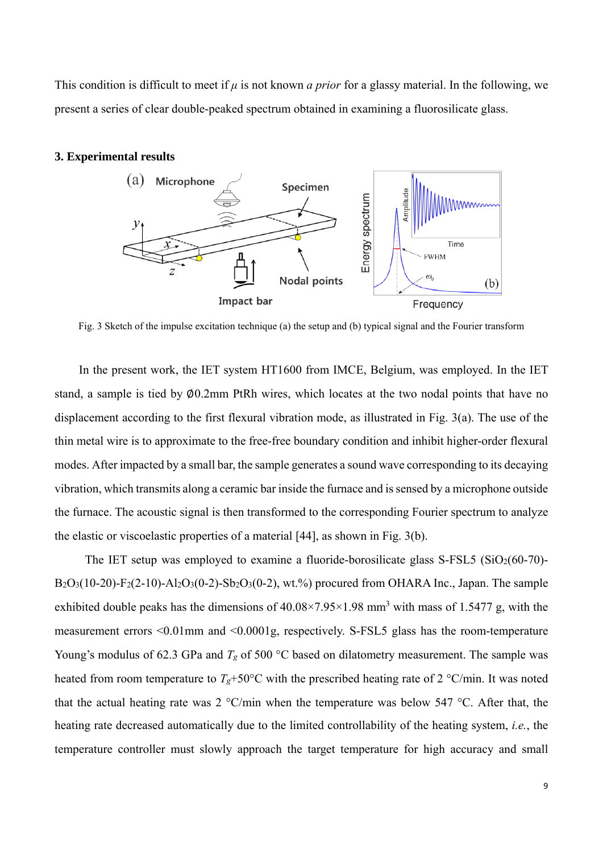This condition is difficult to meet if *μ* is not known *a prior* for a glassy material. In the following, we present a series of clear double-peaked spectrum obtained in examining a fluorosilicate glass.

# **3. Experimental results**



Fig. 3 Sketch of the impulse excitation technique (a) the setup and (b) typical signal and the Fourier transform

In the present work, the IET system HT1600 from IMCE, Belgium, was employed. In the IET stand, a sample is tied by ∅0.2mm PtRh wires, which locates at the two nodal points that have no displacement according to the first flexural vibration mode, as illustrated in Fig. 3(a). The use of the thin metal wire is to approximate to the free-free boundary condition and inhibit higher-order flexural modes. After impacted by a small bar, the sample generates a sound wave corresponding to its decaying vibration, which transmits along a ceramic bar inside the furnace and is sensed by a microphone outside the furnace. The acoustic signal is then transformed to the corresponding Fourier spectrum to analyze the elastic or viscoelastic properties of a material [44], as shown in Fig. 3(b).

The IET setup was employed to examine a fluoride-borosilicate glass S-FSL5 ( $SiO<sub>2</sub>(60-70)$ - $B_2O_3(10-20) - F_2(2-10) - A_2O_3(0-2) - S_2O_3(0-2)$ , wt.%) procured from OHARA Inc., Japan. The sample exhibited double peaks has the dimensions of  $40.08 \times 7.95 \times 1.98$  mm<sup>3</sup> with mass of 1.5477 g, with the measurement errors <0.01mm and <0.0001g, respectively. S-FSL5 glass has the room-temperature Young's modulus of 62.3 GPa and  $T_g$  of 500 °C based on dilatometry measurement. The sample was heated from room temperature to  $T_g$ +50°C with the prescribed heating rate of 2 °C/min. It was noted that the actual heating rate was 2  $\degree$ C/min when the temperature was below 547  $\degree$ C. After that, the heating rate decreased automatically due to the limited controllability of the heating system, *i.e.*, the temperature controller must slowly approach the target temperature for high accuracy and small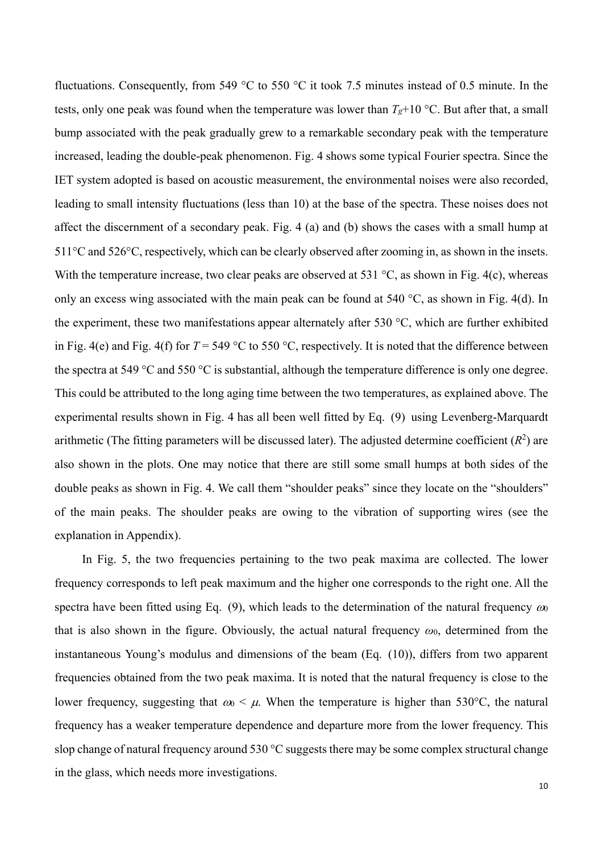fluctuations. Consequently, from 549 °C to 550 °C it took 7.5 minutes instead of 0.5 minute. In the tests, only one peak was found when the temperature was lower than  $T_g+10$  °C. But after that, a small bump associated with the peak gradually grew to a remarkable secondary peak with the temperature increased, leading the double-peak phenomenon. Fig. 4 shows some typical Fourier spectra. Since the IET system adopted is based on acoustic measurement, the environmental noises were also recorded, leading to small intensity fluctuations (less than 10) at the base of the spectra. These noises does not affect the discernment of a secondary peak. Fig. 4 (a) and (b) shows the cases with a small hump at 511<sup>o</sup>C and 526<sup>o</sup>C, respectively, which can be clearly observed after zooming in, as shown in the insets. With the temperature increase, two clear peaks are observed at 531  $\degree$ C, as shown in Fig. 4(c), whereas only an excess wing associated with the main peak can be found at 540  $^{\circ}C$ , as shown in Fig. 4(d). In the experiment, these two manifestations appear alternately after 530  $^{\circ}$ C, which are further exhibited in Fig. 4(e) and Fig. 4(f) for  $T = 549 \degree C$  to 550  $\degree C$ , respectively. It is noted that the difference between the spectra at 549  $\degree$ C and 550  $\degree$ C is substantial, although the temperature difference is only one degree. This could be attributed to the long aging time between the two temperatures, as explained above. The experimental results shown in Fig. 4 has all been well fitted by Eq. (9) using Levenberg-Marquardt arithmetic (The fitting parameters will be discussed later). The adjusted determine coefficient  $(R^2)$  are also shown in the plots. One may notice that there are still some small humps at both sides of the double peaks as shown in Fig. 4. We call them "shoulder peaks" since they locate on the "shoulders" of the main peaks. The shoulder peaks are owing to the vibration of supporting wires (see the explanation in Appendix).

In Fig. 5, the two frequencies pertaining to the two peak maxima are collected. The lower frequency corresponds to left peak maximum and the higher one corresponds to the right one. All the spectra have been fitted using Eq. (9), which leads to the determination of the natural frequency  $\omega_0$ that is also shown in the figure. Obviously, the actual natural frequency *ω*0, determined from the instantaneous Young's modulus and dimensions of the beam (Eq. (10)), differs from two apparent frequencies obtained from the two peak maxima. It is noted that the natural frequency is close to the lower frequency, suggesting that  $\omega \sim \mu$ . When the temperature is higher than 530°C, the natural frequency has a weaker temperature dependence and departure more from the lower frequency. This slop change of natural frequency around 530  $\degree$ C suggests there may be some complex structural change in the glass, which needs more investigations.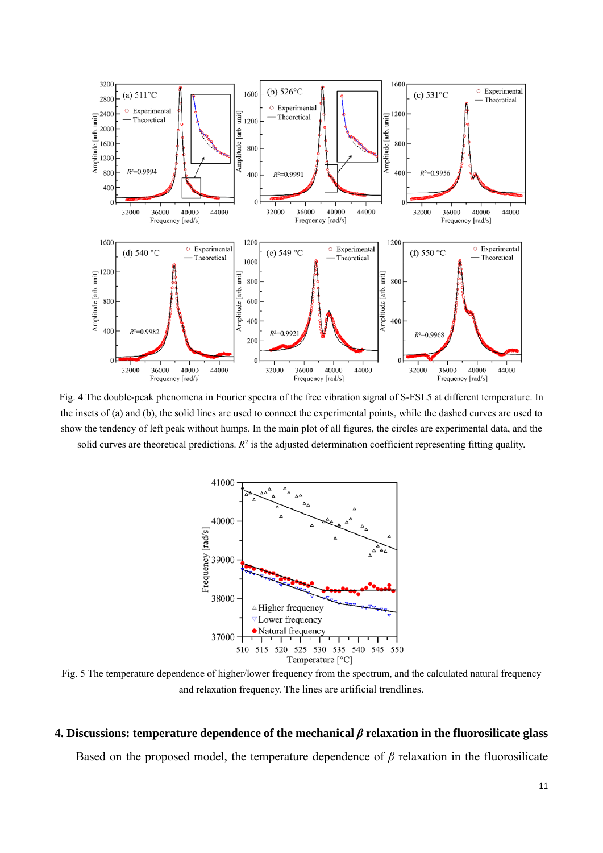

Fig. 4 The double-peak phenomena in Fourier spectra of the free vibration signal of S-FSL5 at different temperature. In the insets of (a) and (b), the solid lines are used to connect the experimental points, while the dashed curves are used to show the tendency of left peak without humps. In the main plot of all figures, the circles are experimental data, and the solid curves are theoretical predictions.  $R<sup>2</sup>$  is the adjusted determination coefficient representing fitting quality.



Fig. 5 The temperature dependence of higher/lower frequency from the spectrum, and the calculated natural frequency and relaxation frequency. The lines are artificial trendlines.

#### **4. Discussions: temperature dependence of the mechanical** *β* **relaxation in the fluorosilicate glass**

Based on the proposed model, the temperature dependence of *β* relaxation in the fluorosilicate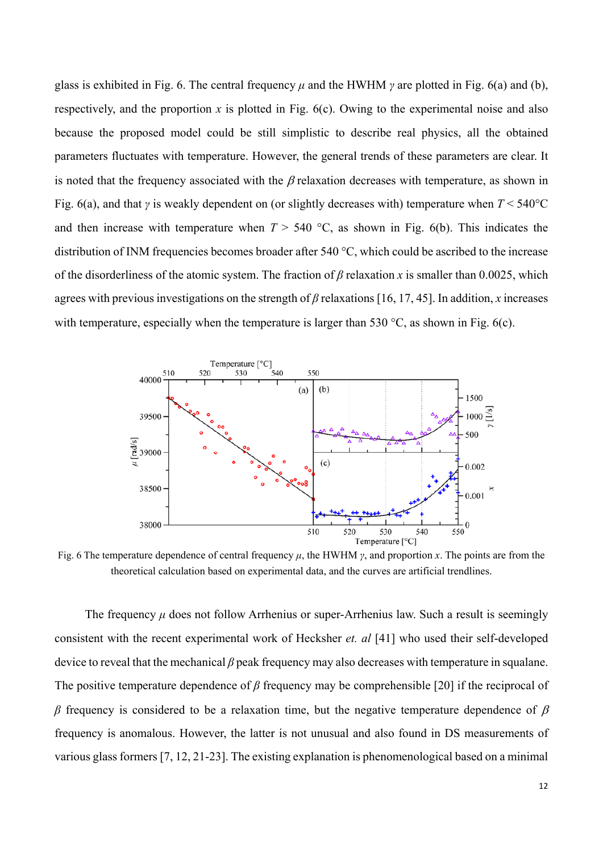glass is exhibited in Fig. 6. The central frequency *μ* and the HWHM *γ* are plotted in Fig. 6(a) and (b), respectively, and the proportion  $x$  is plotted in Fig.  $6(c)$ . Owing to the experimental noise and also because the proposed model could be still simplistic to describe real physics, all the obtained parameters fluctuates with temperature. However, the general trends of these parameters are clear. It is noted that the frequency associated with the  $\beta$  relaxation decreases with temperature, as shown in Fig. 6(a), and that *γ* is weakly dependent on (or slightly decreases with) temperature when *T* < 540C and then increase with temperature when  $T > 540$  °C, as shown in Fig. 6(b). This indicates the distribution of INM frequencies becomes broader after 540  $^{\circ}$ C, which could be ascribed to the increase of the disorderliness of the atomic system. The fraction of *β* relaxation *x* is smaller than 0.0025, which agrees with previous investigations on the strength of *β* relaxations [16, 17, 45]. In addition, *x* increases with temperature, especially when the temperature is larger than 530  $\degree$ C, as shown in Fig. 6(c).



Fig. 6 The temperature dependence of central frequency *μ*, the HWHM *γ*, and proportion *x*. The points are from the theoretical calculation based on experimental data, and the curves are artificial trendlines.

The frequency *μ* does not follow Arrhenius or super-Arrhenius law. Such a result is seemingly consistent with the recent experimental work of Hecksher *et. al* [41] who used their self-developed device to reveal that the mechanical *β* peak frequency may also decreases with temperature in squalane. The positive temperature dependence of *β* frequency may be comprehensible [20] if the reciprocal of  $β$  frequency is considered to be a relaxation time, but the negative temperature dependence of  $β$ frequency is anomalous. However, the latter is not unusual and also found in DS measurements of various glass formers [7, 12, 21-23]. The existing explanation is phenomenological based on a minimal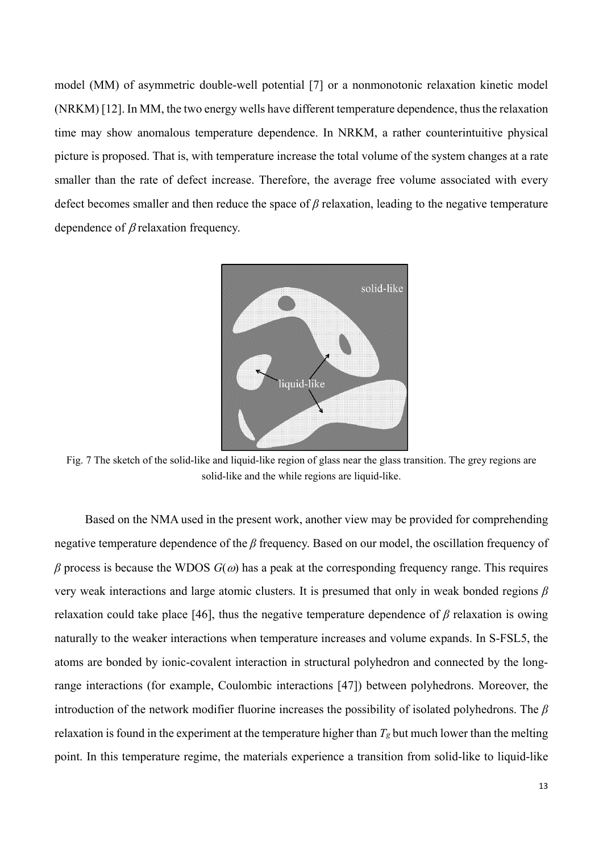model (MM) of asymmetric double-well potential [7] or a nonmonotonic relaxation kinetic model (NRKM) [12]. In MM, the two energy wells have different temperature dependence, thus the relaxation time may show anomalous temperature dependence. In NRKM, a rather counterintuitive physical picture is proposed. That is, with temperature increase the total volume of the system changes at a rate smaller than the rate of defect increase. Therefore, the average free volume associated with every defect becomes smaller and then reduce the space of *β* relaxation, leading to the negative temperature dependence of  $\beta$  relaxation frequency.



Fig. 7 The sketch of the solid-like and liquid-like region of glass near the glass transition. The grey regions are solid-like and the while regions are liquid-like.

Based on the NMA used in the present work, another view may be provided for comprehending negative temperature dependence of the *β* frequency. Based on our model, the oscillation frequency of  $β$  process is because the WDOS  $G(ω)$  has a peak at the corresponding frequency range. This requires very weak interactions and large atomic clusters. It is presumed that only in weak bonded regions *β* relaxation could take place [46], thus the negative temperature dependence of *β* relaxation is owing naturally to the weaker interactions when temperature increases and volume expands. In S-FSL5, the atoms are bonded by ionic-covalent interaction in structural polyhedron and connected by the longrange interactions (for example, Coulombic interactions [47]) between polyhedrons. Moreover, the introduction of the network modifier fluorine increases the possibility of isolated polyhedrons. The *β* relaxation is found in the experiment at the temperature higher than *Tg* but much lower than the melting point. In this temperature regime, the materials experience a transition from solid-like to liquid-like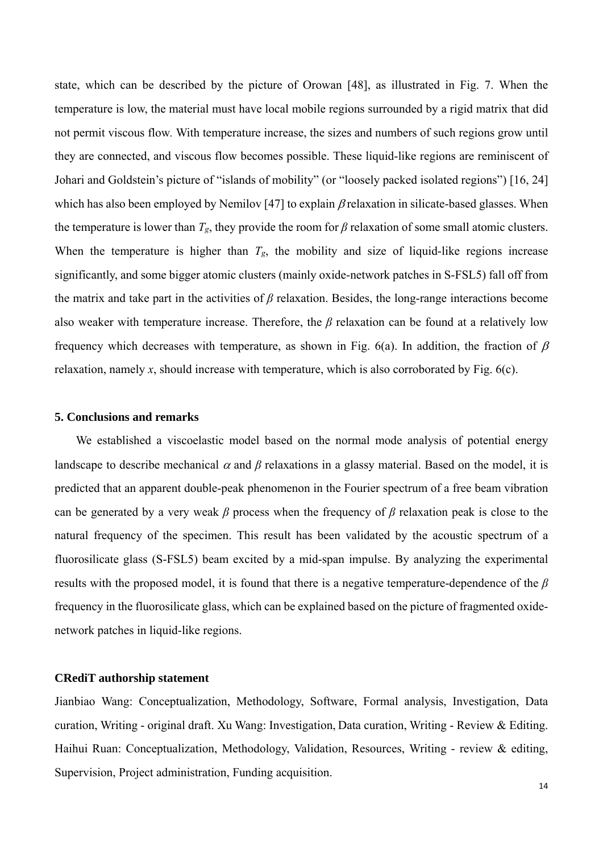state, which can be described by the picture of Orowan [48], as illustrated in Fig. 7. When the temperature is low, the material must have local mobile regions surrounded by a rigid matrix that did not permit viscous flow*.* With temperature increase, the sizes and numbers of such regions grow until they are connected, and viscous flow becomes possible. These liquid-like regions are reminiscent of Johari and Goldstein's picture of "islands of mobility" (or "loosely packed isolated regions") [16, 24] which has also been employed by Nemilov [47] to explain  $\beta$  relaxation in silicate-based glasses. When the temperature is lower than  $T_g$ , they provide the room for  $\beta$  relaxation of some small atomic clusters. When the temperature is higher than  $T_g$ , the mobility and size of liquid-like regions increase significantly, and some bigger atomic clusters (mainly oxide-network patches in S-FSL5) fall off from the matrix and take part in the activities of *β* relaxation. Besides, the long-range interactions become also weaker with temperature increase. Therefore, the *β* relaxation can be found at a relatively low frequency which decreases with temperature, as shown in Fig. 6(a). In addition, the fraction of  $\beta$ relaxation, namely *x*, should increase with temperature, which is also corroborated by Fig. 6(c).

### **5. Conclusions and remarks**

We established a viscoelastic model based on the normal mode analysis of potential energy landscape to describe mechanical  $\alpha$  and  $\beta$  relaxations in a glassy material. Based on the model, it is predicted that an apparent double-peak phenomenon in the Fourier spectrum of a free beam vibration can be generated by a very weak *β* process when the frequency of *β* relaxation peak is close to the natural frequency of the specimen. This result has been validated by the acoustic spectrum of a fluorosilicate glass (S-FSL5) beam excited by a mid-span impulse. By analyzing the experimental results with the proposed model, it is found that there is a negative temperature-dependence of the *β* frequency in the fluorosilicate glass, which can be explained based on the picture of fragmented oxidenetwork patches in liquid-like regions.

### **CRediT authorship statement**

Jianbiao Wang: Conceptualization, Methodology, Software, Formal analysis, Investigation, Data curation, Writing - original draft. Xu Wang: Investigation, Data curation, Writing - Review & Editing. Haihui Ruan: Conceptualization, Methodology, Validation, Resources, Writing - review & editing, Supervision, Project administration, Funding acquisition.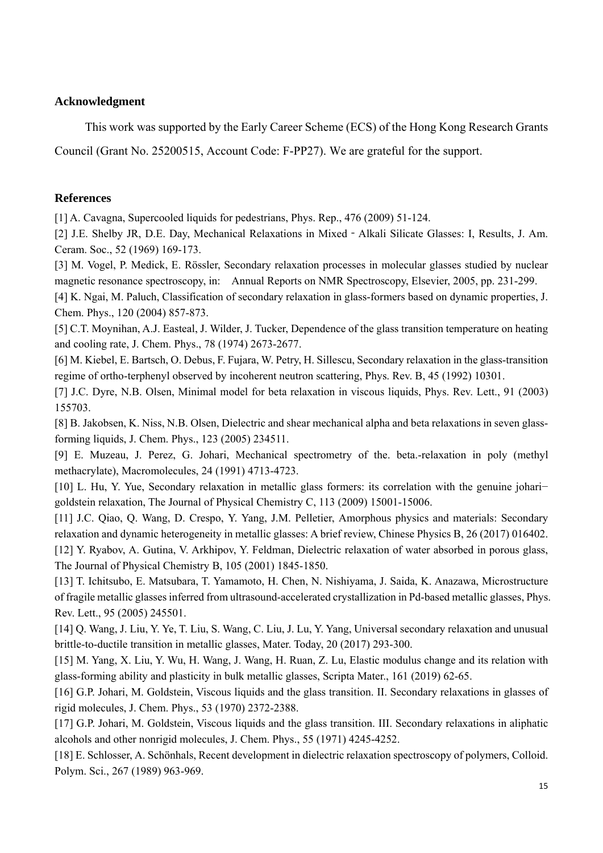## **Acknowledgment**

This work was supported by the Early Career Scheme (ECS) of the Hong Kong Research Grants

Council (Grant No. 25200515, Account Code: F-PP27). We are grateful for the support.

# **References**

[1] A. Cavagna, Supercooled liquids for pedestrians, Phys. Rep., 476 (2009) 51-124.

[2] J.E. Shelby JR, D.E. Day, Mechanical Relaxations in Mixed - Alkali Silicate Glasses: I, Results, J. Am. Ceram. Soc., 52 (1969) 169-173.

[3] M. Vogel, P. Medick, E. Rössler, Secondary relaxation processes in molecular glasses studied by nuclear magnetic resonance spectroscopy, in: Annual Reports on NMR Spectroscopy, Elsevier, 2005, pp. 231-299.

[4] K. Ngai, M. Paluch, Classification of secondary relaxation in glass-formers based on dynamic properties, J. Chem. Phys., 120 (2004) 857-873.

[5] C.T. Moynihan, A.J. Easteal, J. Wilder, J. Tucker, Dependence of the glass transition temperature on heating and cooling rate, J. Chem. Phys., 78 (1974) 2673-2677.

[6] M. Kiebel, E. Bartsch, O. Debus, F. Fujara, W. Petry, H. Sillescu, Secondary relaxation in the glass-transition regime of ortho-terphenyl observed by incoherent neutron scattering, Phys. Rev. B, 45 (1992) 10301.

[7] J.C. Dyre, N.B. Olsen, Minimal model for beta relaxation in viscous liquids, Phys. Rev. Lett., 91 (2003) 155703.

[8] B. Jakobsen, K. Niss, N.B. Olsen, Dielectric and shear mechanical alpha and beta relaxations in seven glassforming liquids, J. Chem. Phys., 123 (2005) 234511.

[9] E. Muzeau, J. Perez, G. Johari, Mechanical spectrometry of the. beta.-relaxation in poly (methyl methacrylate), Macromolecules, 24 (1991) 4713-4723.

[10] L. Hu, Y. Yue, Secondary relaxation in metallic glass formers: its correlation with the genuine johari− goldstein relaxation, The Journal of Physical Chemistry C, 113 (2009) 15001-15006.

[11] J.C. Qiao, Q. Wang, D. Crespo, Y. Yang, J.M. Pelletier, Amorphous physics and materials: Secondary relaxation and dynamic heterogeneity in metallic glasses: A brief review, Chinese Physics B, 26 (2017) 016402.

[12] Y. Ryabov, A. Gutina, V. Arkhipov, Y. Feldman, Dielectric relaxation of water absorbed in porous glass, The Journal of Physical Chemistry B, 105 (2001) 1845-1850.

[13] T. Ichitsubo, E. Matsubara, T. Yamamoto, H. Chen, N. Nishiyama, J. Saida, K. Anazawa, Microstructure of fragile metallic glasses inferred from ultrasound-accelerated crystallization in Pd-based metallic glasses, Phys. Rev. Lett., 95 (2005) 245501.

[14] Q. Wang, J. Liu, Y. Ye, T. Liu, S. Wang, C. Liu, J. Lu, Y. Yang, Universal secondary relaxation and unusual brittle-to-ductile transition in metallic glasses, Mater. Today, 20 (2017) 293-300.

[15] M. Yang, X. Liu, Y. Wu, H. Wang, J. Wang, H. Ruan, Z. Lu, Elastic modulus change and its relation with glass-forming ability and plasticity in bulk metallic glasses, Scripta Mater., 161 (2019) 62-65.

[16] G.P. Johari, M. Goldstein, Viscous liquids and the glass transition. II. Secondary relaxations in glasses of rigid molecules, J. Chem. Phys., 53 (1970) 2372-2388.

[17] G.P. Johari, M. Goldstein, Viscous liquids and the glass transition. III. Secondary relaxations in aliphatic alcohols and other nonrigid molecules, J. Chem. Phys., 55 (1971) 4245-4252.

[18] E. Schlosser, A. Schönhals, Recent development in dielectric relaxation spectroscopy of polymers, Colloid. Polym. Sci., 267 (1989) 963-969.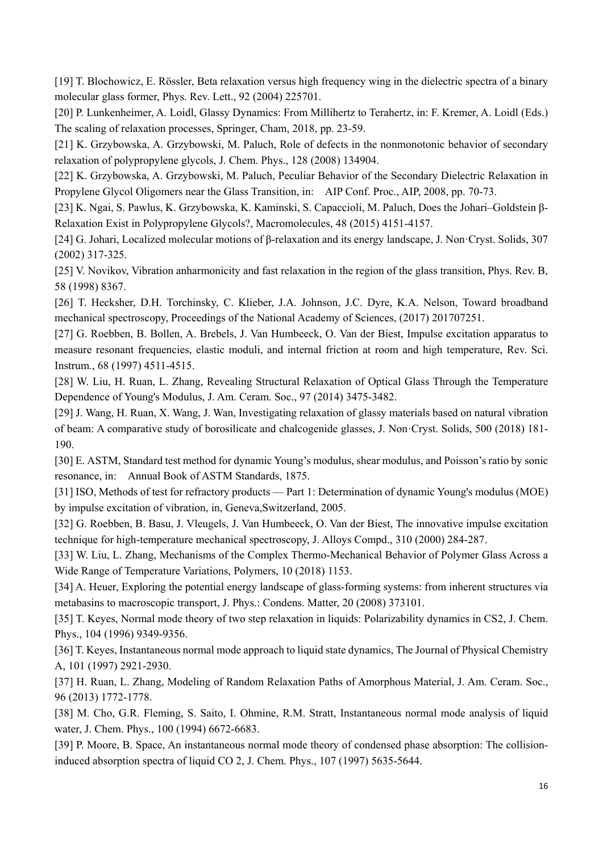[19] T. Blochowicz, E. Rössler, Beta relaxation versus high frequency wing in the dielectric spectra of a binary molecular glass former, Phys. Rev. Lett., 92 (2004) 225701.

[20] P. Lunkenheimer, A. Loidl, Glassy Dynamics: From Millihertz to Terahertz, in: F. Kremer, A. Loidl (Eds.) The scaling of relaxation processes, Springer, Cham, 2018, pp. 23-59.

[21] K. Grzybowska, A. Grzybowski, M. Paluch, Role of defects in the nonmonotonic behavior of secondary relaxation of polypropylene glycols, J. Chem. Phys., 128 (2008) 134904.

[22] K. Grzybowska, A. Grzybowski, M. Paluch, Peculiar Behavior of the Secondary Dielectric Relaxation in Propylene Glycol Oligomers near the Glass Transition, in: AIP Conf. Proc., AIP, 2008, pp. 70-73.

[23] K. Ngai, S. Pawlus, K. Grzybowska, K. Kaminski, S. Capaccioli, M. Paluch, Does the Johari–Goldstein β-Relaxation Exist in Polypropylene Glycols?, Macromolecules, 48 (2015) 4151-4157.

[24] G. Johari, Localized molecular motions of β-relaxation and its energy landscape, J. Non·Cryst. Solids, 307 (2002) 317-325.

[25] V. Novikov, Vibration anharmonicity and fast relaxation in the region of the glass transition, Phys. Rev. B, 58 (1998) 8367.

[26] T. Hecksher, D.H. Torchinsky, C. Klieber, J.A. Johnson, J.C. Dyre, K.A. Nelson, Toward broadband mechanical spectroscopy, Proceedings of the National Academy of Sciences, (2017) 201707251.

[27] G. Roebben, B. Bollen, A. Brebels, J. Van Humbeeck, O. Van der Biest, Impulse excitation apparatus to measure resonant frequencies, elastic moduli, and internal friction at room and high temperature, Rev. Sci. Instrum., 68 (1997) 4511-4515.

[28] W. Liu, H. Ruan, L. Zhang, Revealing Structural Relaxation of Optical Glass Through the Temperature Dependence of Young's Modulus, J. Am. Ceram. Soc., 97 (2014) 3475-3482.

[29] J. Wang, H. Ruan, X. Wang, J. Wan, Investigating relaxation of glassy materials based on natural vibration of beam: A comparative study of borosilicate and chalcogenide glasses, J. Non·Cryst. Solids, 500 (2018) 181- 190.

[30] E. ASTM, Standard test method for dynamic Young's modulus, shear modulus, and Poisson's ratio by sonic resonance, in: Annual Book of ASTM Standards, 1875.

[31] ISO, Methods of test for refractory products — Part 1: Determination of dynamic Young's modulus (MOE) by impulse excitation of vibration, in, Geneva,Switzerland, 2005.

[32] G. Roebben, B. Basu, J. Vleugels, J. Van Humbeeck, O. Van der Biest, The innovative impulse excitation technique for high-temperature mechanical spectroscopy, J. Alloys Compd., 310 (2000) 284-287.

[33] W. Liu, L. Zhang, Mechanisms of the Complex Thermo-Mechanical Behavior of Polymer Glass Across a Wide Range of Temperature Variations, Polymers, 10 (2018) 1153.

[34] A. Heuer, Exploring the potential energy landscape of glass-forming systems: from inherent structures via metabasins to macroscopic transport, J. Phys.: Condens. Matter, 20 (2008) 373101.

[35] T. Keyes, Normal mode theory of two step relaxation in liquids: Polarizability dynamics in CS2, J. Chem. Phys., 104 (1996) 9349-9356.

[36] T. Keyes, Instantaneous normal mode approach to liquid state dynamics, The Journal of Physical Chemistry A, 101 (1997) 2921-2930.

[37] H. Ruan, L. Zhang, Modeling of Random Relaxation Paths of Amorphous Material, J. Am. Ceram. Soc., 96 (2013) 1772-1778.

[38] M. Cho, G.R. Fleming, S. Saito, I. Ohmine, R.M. Stratt, Instantaneous normal mode analysis of liquid water, J. Chem. Phys., 100 (1994) 6672-6683.

[39] P. Moore, B. Space, An instantaneous normal mode theory of condensed phase absorption: The collisioninduced absorption spectra of liquid CO 2, J. Chem. Phys., 107 (1997) 5635-5644.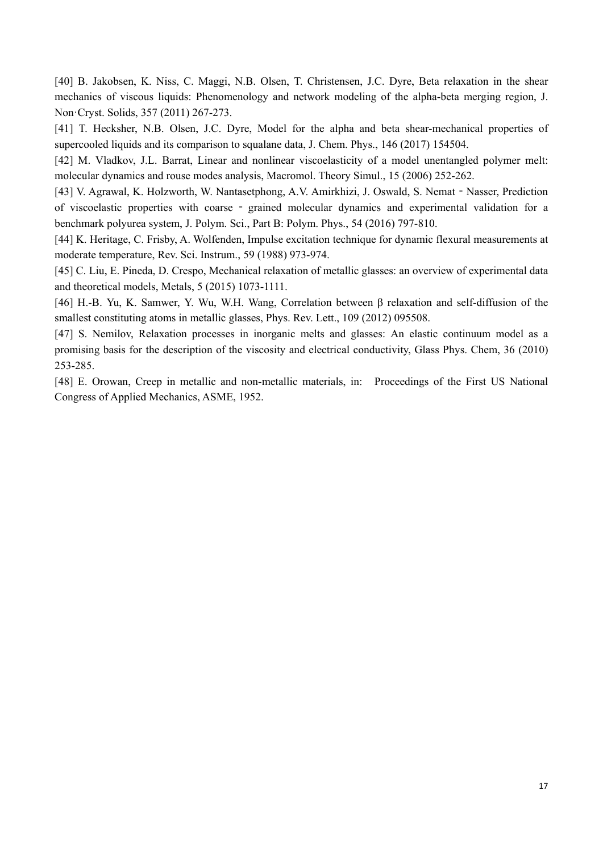[40] B. Jakobsen, K. Niss, C. Maggi, N.B. Olsen, T. Christensen, J.C. Dyre, Beta relaxation in the shear mechanics of viscous liquids: Phenomenology and network modeling of the alpha-beta merging region, J. Non·Cryst. Solids, 357 (2011) 267-273.

[41] T. Hecksher, N.B. Olsen, J.C. Dyre, Model for the alpha and beta shear-mechanical properties of supercooled liquids and its comparison to squalane data, J. Chem. Phys., 146 (2017) 154504.

[42] M. Vladkov, J.L. Barrat, Linear and nonlinear viscoelasticity of a model unentangled polymer melt: molecular dynamics and rouse modes analysis, Macromol. Theory Simul., 15 (2006) 252-262.

[43] V. Agrawal, K. Holzworth, W. Nantasetphong, A.V. Amirkhizi, J. Oswald, S. Nemat - Nasser, Prediction of viscoelastic properties with coarse ‐ grained molecular dynamics and experimental validation for a benchmark polyurea system, J. Polym. Sci., Part B: Polym. Phys., 54 (2016) 797-810.

[44] K. Heritage, C. Frisby, A. Wolfenden, Impulse excitation technique for dynamic flexural measurements at moderate temperature, Rev. Sci. Instrum., 59 (1988) 973-974.

[45] C. Liu, E. Pineda, D. Crespo, Mechanical relaxation of metallic glasses: an overview of experimental data and theoretical models, Metals, 5 (2015) 1073-1111.

[46] H.-B. Yu, K. Samwer, Y. Wu, W.H. Wang, Correlation between β relaxation and self-diffusion of the smallest constituting atoms in metallic glasses, Phys. Rev. Lett., 109 (2012) 095508.

[47] S. Nemilov, Relaxation processes in inorganic melts and glasses: An elastic continuum model as a promising basis for the description of the viscosity and electrical conductivity, Glass Phys. Chem, 36 (2010) 253-285.

[48] E. Orowan, Creep in metallic and non-metallic materials, in: Proceedings of the First US National Congress of Applied Mechanics, ASME, 1952.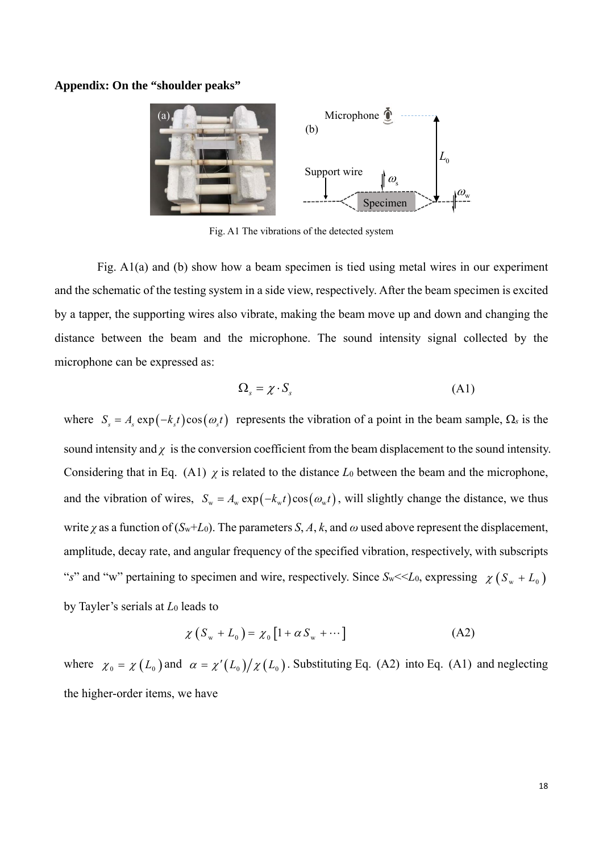### **Appendix: On the "shoulder peaks"**



Fig. A1 The vibrations of the detected system

 Fig. A1(a) and (b) show how a beam specimen is tied using metal wires in our experiment and the schematic of the testing system in a side view, respectively. After the beam specimen is excited by a tapper, the supporting wires also vibrate, making the beam move up and down and changing the distance between the beam and the microphone. The sound intensity signal collected by the microphone can be expressed as:

$$
\Omega_s = \chi \cdot S_s \tag{A1}
$$

where  $S_s = A_s \exp(-k_s t) \cos(\omega_s t)$  represents the vibration of a point in the beam sample,  $\Omega_s$  is the sound intensity and  $\gamma$  is the conversion coefficient from the beam displacement to the sound intensity. Considering that in Eq. (A1)  $\chi$  is related to the distance  $L_0$  between the beam and the microphone, and the vibration of wires,  $S_w = A_w \exp(-k_w t) \cos(\omega_w t)$ , will slightly change the distance, we thus write *χ* as a function of  $(S_w + L_0)$ . The parameters *S*, *A*, *k*, and  $\omega$  used above represent the displacement, amplitude, decay rate, and angular frequency of the specified vibration, respectively, with subscripts "*s*" and "w" pertaining to specimen and wire, respectively. Since  $S_w \ll L_0$ , expressing  $\chi(S_w + L_0)$ by Tayler's serials at *L*0 leads to

$$
\chi\left(S_w + L_0\right) = \chi_0\left[1 + \alpha S_w + \cdots\right]
$$
\n(A2)

where  $\chi_0 = \chi(L_0)$  and  $\alpha = \chi'(L_0)/\chi(L_0)$ . Substituting Eq. (A2) into Eq. (A1) and neglecting the higher-order items, we have